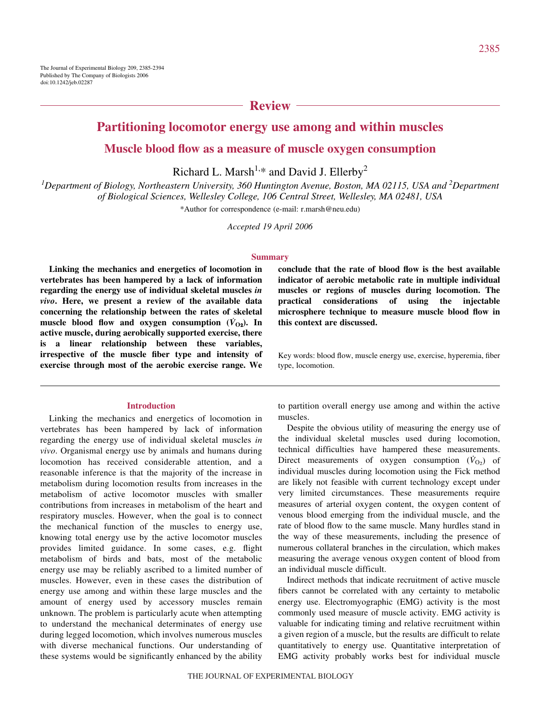# — **Review** -

# **Partitioning locomotor energy use among and within muscles**

# **Muscle blood flow as a measure of muscle oxygen consumption**

Richard L. Marsh<sup>1,\*</sup> and David J. Ellerby<sup>2</sup>

*1 Department of Biology, Northeastern University, 360 Huntington Avenue, Boston, MA 02115, USA and 2 Department of Biological Sciences, Wellesley College, 106 Central Street, Wellesley, MA 02481, USA*

\*Author for correspondence (e-mail: r.marsh@neu.edu)

*Accepted 19 April 2006*

#### **Summary**

**Linking the mechanics and energetics of locomotion in vertebrates has been hampered by a lack of information regarding the energy use of individual skeletal muscles** *in vivo***. Here, we present a review of the available data concerning the relationship between the rates of skeletal** muscle blood flow and oxygen consumption  $(\dot{V}_{02})$ . In **active muscle, during aerobically supported exercise, there is a linear relationship between these variables, irrespective of the muscle fiber type and intensity of exercise through most of the aerobic exercise range. We**

#### **Introduction**

Linking the mechanics and energetics of locomotion in vertebrates has been hampered by lack of information regarding the energy use of individual skeletal muscles *in vivo*. Organismal energy use by animals and humans during locomotion has received considerable attention, and a reasonable inference is that the majority of the increase in metabolism during locomotion results from increases in the metabolism of active locomotor muscles with smaller contributions from increases in metabolism of the heart and respiratory muscles. However, when the goal is to connect the mechanical function of the muscles to energy use, knowing total energy use by the active locomotor muscles provides limited guidance. In some cases, e.g. flight metabolism of birds and bats, most of the metabolic energy use may be reliably ascribed to a limited number of muscles. However, even in these cases the distribution of energy use among and within these large muscles and the amount of energy used by accessory muscles remain unknown. The problem is particularly acute when attempting to understand the mechanical determinates of energy use during legged locomotion, which involves numerous muscles with diverse mechanical functions. Our understanding of these systems would be significantly enhanced by the ability

**conclude that the rate of blood flow is the best available indicator of aerobic metabolic rate in multiple individual muscles or regions of muscles during locomotion. The practical considerations of using the injectable microsphere technique to measure muscle blood flow in this context are discussed.**

Key words: blood flow, muscle energy use, exercise, hyperemia, fiber type, locomotion.

to partition overall energy use among and within the active muscles.

Despite the obvious utility of measuring the energy use of the individual skeletal muscles used during locomotion, technical difficulties have hampered these measurements. Direct measurements of oxygen consumption  $(\dot{V}_{02})$  of individual muscles during locomotion using the Fick method are likely not feasible with current technology except under very limited circumstances. These measurements require measures of arterial oxygen content, the oxygen content of venous blood emerging from the individual muscle, and the rate of blood flow to the same muscle. Many hurdles stand in the way of these measurements, including the presence of numerous collateral branches in the circulation, which makes measuring the average venous oxygen content of blood from an individual muscle difficult.

Indirect methods that indicate recruitment of active muscle fibers cannot be correlated with any certainty to metabolic energy use. Electromyographic (EMG) activity is the most commonly used measure of muscle activity. EMG activity is valuable for indicating timing and relative recruitment within a given region of a muscle, but the results are difficult to relate quantitatively to energy use. Quantitative interpretation of EMG activity probably works best for individual muscle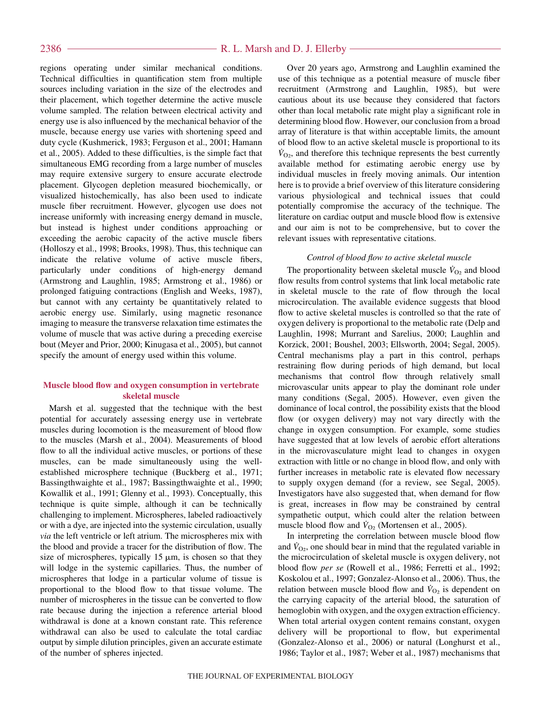regions operating under similar mechanical conditions. Technical difficulties in quantification stem from multiple sources including variation in the size of the electrodes and their placement, which together determine the active muscle volume sampled. The relation between electrical activity and energy use is also influenced by the mechanical behavior of the muscle, because energy use varies with shortening speed and duty cycle (Kushmerick, 1983; Ferguson et al., 2001; Hamann et al., 2005). Added to these difficulties, is the simple fact that simultaneous EMG recording from a large number of muscles may require extensive surgery to ensure accurate electrode placement. Glycogen depletion measured biochemically, or visualized histochemically, has also been used to indicate muscle fiber recruitment. However, glycogen use does not increase uniformly with increasing energy demand in muscle, but instead is highest under conditions approaching or exceeding the aerobic capacity of the active muscle fibers (Holloszy et al., 1998; Brooks, 1998). Thus, this technique can indicate the relative volume of active muscle fibers, particularly under conditions of high-energy demand (Armstrong and Laughlin, 1985; Armstrong et al., 1986) or prolonged fatiguing contractions (English and Weeks, 1987), but cannot with any certainty be quantitatively related to aerobic energy use. Similarly, using magnetic resonance imaging to measure the transverse relaxation time estimates the volume of muscle that was active during a preceding exercise bout (Meyer and Prior, 2000; Kinugasa et al., 2005), but cannot specify the amount of energy used within this volume.

## **Muscle blood flow and oxygen consumption in vertebrate skeletal muscle**

Marsh et al. suggested that the technique with the best potential for accurately assessing energy use in vertebrate muscles during locomotion is the measurement of blood flow to the muscles (Marsh et al., 2004). Measurements of blood flow to all the individual active muscles, or portions of these muscles, can be made simultaneously using the wellestablished microsphere technique (Buckberg et al., 1971; Bassingthwaighte et al., 1987; Bassingthwaighte et al., 1990; Kowallik et al., 1991; Glenny et al., 1993). Conceptually, this technique is quite simple, although it can be technically challenging to implement. Microspheres, labeled radioactively or with a dye, are injected into the systemic circulation, usually *via* the left ventricle or left atrium. The microspheres mix with the blood and provide a tracer for the distribution of flow. The size of microspheres, typically 15  $\mu$ m, is chosen so that they will lodge in the systemic capillaries. Thus, the number of microspheres that lodge in a particular volume of tissue is proportional to the blood flow to that tissue volume. The number of microspheres in the tissue can be converted to flow rate because during the injection a reference arterial blood withdrawal is done at a known constant rate. This reference withdrawal can also be used to calculate the total cardiac output by simple dilution principles, given an accurate estimate of the number of spheres injected.

Over 20 years ago, Armstrong and Laughlin examined the use of this technique as a potential measure of muscle fiber recruitment (Armstrong and Laughlin, 1985), but were cautious about its use because they considered that factors other than local metabolic rate might play a significant role in determining blood flow. However, our conclusion from a broad array of literature is that within acceptable limits, the amount of blood flow to an active skeletal muscle is proportional to its  $\dot{V}_{\text{O}_2}$ , and therefore this technique represents the best currently available method for estimating aerobic energy use by individual muscles in freely moving animals. Our intention here is to provide a brief overview of this literature considering various physiological and technical issues that could potentially compromise the accuracy of the technique. The literature on cardiac output and muscle blood flow is extensive and our aim is not to be comprehensive, but to cover the relevant issues with representative citations.

### *Control of blood flow to active skeletal muscle*

The proportionality between skeletal muscle  $V_{\text{O}_2}$  and blood flow results from control systems that link local metabolic rate in skeletal muscle to the rate of flow through the local microcirculation. The available evidence suggests that blood flow to active skeletal muscles is controlled so that the rate of oxygen delivery is proportional to the metabolic rate (Delp and Laughlin, 1998; Murrant and Sarelius, 2000; Laughlin and Korzick, 2001; Boushel, 2003; Ellsworth, 2004; Segal, 2005). Central mechanisms play a part in this control, perhaps restraining flow during periods of high demand, but local mechanisms that control flow through relatively small microvascular units appear to play the dominant role under many conditions (Segal, 2005). However, even given the dominance of local control, the possibility exists that the blood flow (or oxygen delivery) may not vary directly with the change in oxygen consumption. For example, some studies have suggested that at low levels of aerobic effort alterations in the microvasculature might lead to changes in oxygen extraction with little or no change in blood flow, and only with further increases in metabolic rate is elevated flow necessary to supply oxygen demand (for a review, see Segal, 2005). Investigators have also suggested that, when demand for flow is great, increases in flow may be constrained by central sympathetic output, which could alter the relation between muscle blood flow and  $\dot{V}_{O_2}$  (Mortensen et al., 2005).

In interpreting the correlation between muscle blood flow and  $V_{\text{O}_2}$ , one should bear in mind that the regulated variable in the microcirculation of skeletal muscle is oxygen delivery, not blood flow *per se* (Rowell et al., 1986; Ferretti et al., 1992; Koskolou et al., 1997; Gonzalez-Alonso et al., 2006). Thus, the relation between muscle blood flow and  $\dot{V}_{O_2}$  is dependent on the carrying capacity of the arterial blood, the saturation of hemoglobin with oxygen, and the oxygen extraction efficiency. When total arterial oxygen content remains constant, oxygen delivery will be proportional to flow, but experimental (Gonzalez-Alonso et al., 2006) or natural (Longhurst et al., 1986; Taylor et al., 1987; Weber et al., 1987) mechanisms that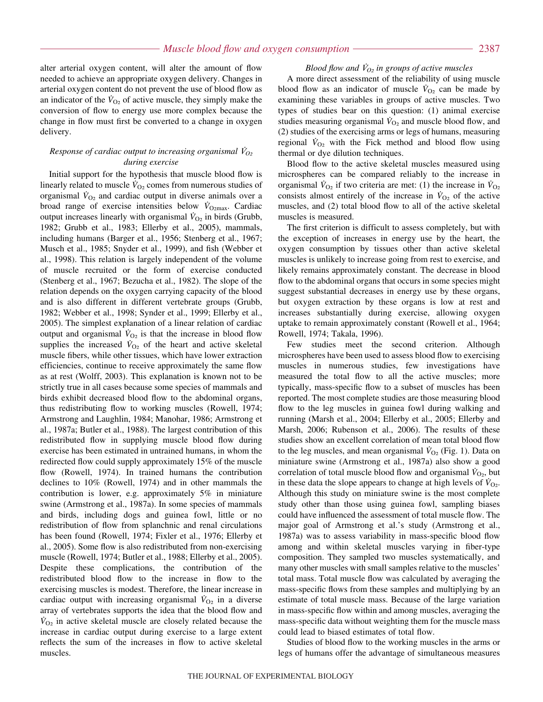alter arterial oxygen content, will alter the amount of flow needed to achieve an appropriate oxygen delivery. Changes in arterial oxygen content do not prevent the use of blood flow as an indicator of the  $V_{\text{O}_2}$  of active muscle, they simply make the conversion of flow to energy use more complex because the change in flow must first be converted to a change in oxygen delivery.

### *Response of cardiac output to increasing organismal*  $\dot{V}_{O_2}$ *during exercise*

Initial support for the hypothesis that muscle blood flow is linearly related to muscle  $V_{\text{O}_2}$  comes from numerous studies of organismal  $V_{O_2}$  and cardiac output in diverse animals over a broad range of exercise intensities below  $V_{\text{O2max}}$ . Cardiac output increases linearly with organismal  $V_{O_2}$  in birds (Grubb, 1982; Grubb et al., 1983; Ellerby et al., 2005), mammals, including humans (Barger et al., 1956; Stenberg et al., 1967; Musch et al., 1985; Snyder et al., 1999), and fish (Webber et al., 1998). This relation is largely independent of the volume of muscle recruited or the form of exercise conducted (Stenberg et al., 1967; Bezucha et al., 1982). The slope of the relation depends on the oxygen carrying capacity of the blood and is also different in different vertebrate groups (Grubb, 1982; Webber et al., 1998; Synder et al., 1999; Ellerby et al., 2005). The simplest explanation of a linear relation of cardiac output and organismal  $V_{O_2}$  is that the increase in blood flow supplies the increased  $\dot{V}_{\text{O}_2}$  of the heart and active skeletal muscle fibers, while other tissues, which have lower extraction efficiencies, continue to receive approximately the same flow as at rest (Wolff, 2003). This explanation is known not to be strictly true in all cases because some species of mammals and birds exhibit decreased blood flow to the abdominal organs, thus redistributing flow to working muscles (Rowell, 1974; Armstrong and Laughlin, 1984; Manohar, 1986; Armstrong et al., 1987a; Butler et al., 1988). The largest contribution of this redistributed flow in supplying muscle blood flow during exercise has been estimated in untrained humans, in whom the redirected flow could supply approximately 15% of the muscle flow (Rowell, 1974). In trained humans the contribution declines to 10% (Rowell, 1974) and in other mammals the contribution is lower, e.g. approximately 5% in miniature swine (Armstrong et al., 1987a). In some species of mammals and birds, including dogs and guinea fowl, little or no redistribution of flow from splanchnic and renal circulations has been found (Rowell, 1974; Fixler et al., 1976; Ellerby et al., 2005). Some flow is also redistributed from non-exercising muscle (Rowell, 1974; Butler et al., 1988; Ellerby et al., 2005). Despite these complications, the contribution of the redistributed blood flow to the increase in flow to the exercising muscles is modest. Therefore, the linear increase in cardiac output with increasing organismal  $V_{O_2}$  in a diverse array of vertebrates supports the idea that the blood flow and  $V_{\text{O}_2}$  in active skeletal muscle are closely related because the increase in cardiac output during exercise to a large extent reflects the sum of the increases in flow to active skeletal muscles.

## *Blood flow and VO*<sup>2</sup> *in groups of active muscles*

A more direct assessment of the reliability of using muscle blood flow as an indicator of muscle  $V_{\text{O}_2}$  can be made by examining these variables in groups of active muscles. Two types of studies bear on this question: (1) animal exercise studies measuring organismal  $\dot{V}_{O_2}$  and muscle blood flow, and (2) studies of the exercising arms or legs of humans, measuring regional  $V_{O_2}$  with the Fick method and blood flow using thermal or dye dilution techniques.

Blood flow to the active skeletal muscles measured using microspheres can be compared reliably to the increase in organismal  $\dot{V}_{O_2}$  if two criteria are met: (1) the increase in  $\dot{V}_{O_2}$ consists almost entirely of the increase in  $V_{\text{O}_2}$  of the active muscles, and (2) total blood flow to all of the active skeletal muscles is measured.

The first criterion is difficult to assess completely, but with the exception of increases in energy use by the heart, the oxygen consumption by tissues other than active skeletal muscles is unlikely to increase going from rest to exercise, and likely remains approximately constant. The decrease in blood flow to the abdominal organs that occurs in some species might suggest substantial decreases in energy use by these organs, but oxygen extraction by these organs is low at rest and increases substantially during exercise, allowing oxygen uptake to remain approximately constant (Rowell et al., 1964; Rowell, 1974; Takala, 1996).

Few studies meet the second criterion. Although microspheres have been used to assess blood flow to exercising muscles in numerous studies, few investigations have measured the total flow to all the active muscles; more typically, mass-specific flow to a subset of muscles has been reported. The most complete studies are those measuring blood flow to the leg muscles in guinea fowl during walking and running (Marsh et al., 2004; Ellerby et al., 2005; Ellerby and Marsh, 2006; Rubenson et al., 2006). The results of these studies show an excellent correlation of mean total blood flow to the leg muscles, and mean organismal  $V_{\text{O}_2}$  (Fig. 1). Data on miniature swine (Armstrong et al., 1987a) also show a good correlation of total muscle blood flow and organismal  $\dot{V}_{O_2}$ , but in these data the slope appears to change at high levels of  $V_{O_2}$ . Although this study on miniature swine is the most complete study other than those using guinea fowl, sampling biases could have influenced the assessment of total muscle flow. The major goal of Armstrong et al.'s study (Armstrong et al., 1987a) was to assess variability in mass-specific blood flow among and within skeletal muscles varying in fiber-type composition. They sampled two muscles systematically, and many other muscles with small samples relative to the muscles' total mass. Total muscle flow was calculated by averaging the mass-specific flows from these samples and multiplying by an estimate of total muscle mass. Because of the large variation in mass-specific flow within and among muscles, averaging the mass-specific data without weighting them for the muscle mass could lead to biased estimates of total flow.

Studies of blood flow to the working muscles in the arms or legs of humans offer the advantage of simultaneous measures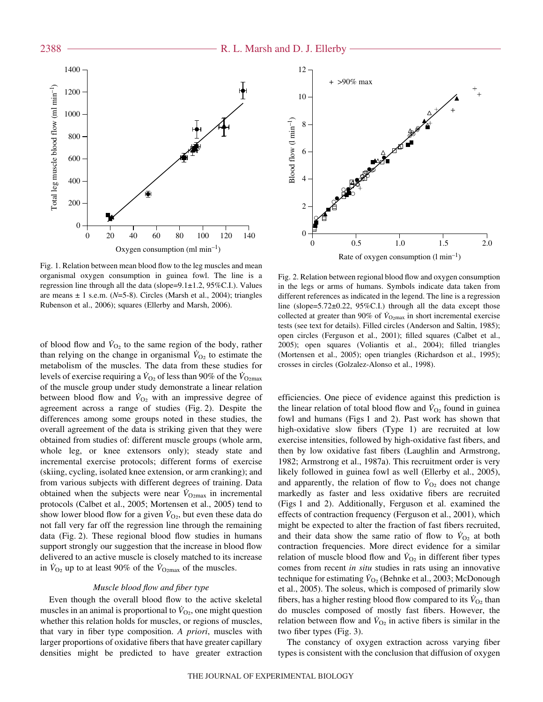R. L. Marsh and D. J. Ellerby



Fig. 1. Relation between mean blood flow to the leg muscles and mean organismal oxygen consumption in guinea fowl. The line is a regression line through all the data (slope= $9.1 \pm 1.2$ ,  $95\%$ C.I.). Values are means ± 1 s.e.m. (*N*=5-8). Circles (Marsh et al., 2004); triangles Rubenson et al., 2006); squares (Ellerby and Marsh, 2006).

of blood flow and  $V_{O_2}$  to the same region of the body, rather than relying on the change in organismal  $\dot{V}_{O_2}$  to estimate the metabolism of the muscles. The data from these studies for levels of exercise requiring a  $V_{\Omega_2}$  of less than 90% of the  $V_{\Omega_2}$ <sub>max</sub> of the muscle group under study demonstrate a linear relation between blood flow and  $V_{\text{O}_2}$  with an impressive degree of agreement across a range of studies (Fig. 2). Despite the differences among some groups noted in these studies, the overall agreement of the data is striking given that they were obtained from studies of: different muscle groups (whole arm, whole leg, or knee extensors only); steady state and incremental exercise protocols; different forms of exercise (skiing, cycling, isolated knee extension, or arm cranking); and from various subjects with different degrees of training. Data obtained when the subjects were near  $\dot{V}_{\text{O}2\text{max}}$  in incremental protocols (Calbet et al., 2005; Mortensen et al., 2005) tend to show lower blood flow for a given  $V_{\Omega_2}$ , but even these data do not fall very far off the regression line through the remaining data (Fig. 2). These regional blood flow studies in humans support strongly our suggestion that the increase in blood flow delivered to an active muscle is closely matched to its increase in  $\dot{V}_{\text{O}_2}$  up to at least 90% of the  $\dot{V}_{\text{O}_{2\text{max}}}$  of the muscles.

#### *Muscle blood flow and fiber type*

Even though the overall blood flow to the active skeletal muscles in an animal is proportional to  $V_{\text{O}_2}$ , one might question whether this relation holds for muscles, or regions of muscles, that vary in fiber type composition. *A priori*, muscles with larger proportions of oxidative fibers that have greater capillary densities might be predicted to have greater extraction



Fig. 2. Relation between regional blood flow and oxygen consumption in the legs or arms of humans. Symbols indicate data taken from different references as indicated in the legend. The line is a regression line (slope=5.72±0.22, 95%C.I.) through all the data except those collected at greater than 90% of  $\dot{V}_{\text{O2max}}$  in short incremental exercise tests (see text for details). Filled circles (Anderson and Saltin, 1985); open circles (Ferguson et al., 2001); filled squares (Calbet et al., 2005); open squares (Voliantis et al., 2004); filled triangles (Mortensen et al., 2005); open triangles (Richardson et al., 1995); crosses in circles (Golzalez-Alonso et al., 1998).

efficiencies. One piece of evidence against this prediction is the linear relation of total blood flow and  $\dot{V}_{O_2}$  found in guinea fowl and humans (Figs 1 and 2). Past work has shown that high-oxidative slow fibers (Type 1) are recruited at low exercise intensities, followed by high-oxidative fast fibers, and then by low oxidative fast fibers (Laughlin and Armstrong, 1982; Armstrong et al., 1987a). This recruitment order is very likely followed in guinea fowl as well (Ellerby et al., 2005), and apparently, the relation of flow to  $\dot{V}_{O_2}$  does not change markedly as faster and less oxidative fibers are recruited (Figs·1 and 2). Additionally, Ferguson et al. examined the effects of contraction frequency (Ferguson et al., 2001), which might be expected to alter the fraction of fast fibers recruited, and their data show the same ratio of flow to  $\dot{V}_{\text{O}_2}$  at both contraction frequencies. More direct evidence for a similar relation of muscle blood flow and  $\dot{V}_{O_2}$  in different fiber types comes from recent *in situ* studies in rats using an innovative technique for estimating  $\dot{V}_{\Omega_2}$  (Behnke et al., 2003; McDonough et al., 2005). The soleus, which is composed of primarily slow fibers, has a higher resting blood flow compared to its  $\dot{V}_{O_2}$  than do muscles composed of mostly fast fibers. However, the relation between flow and  $\dot{V}_{O_2}$  in active fibers is similar in the two fiber types (Fig. 3).

The constancy of oxygen extraction across varying fiber types is consistent with the conclusion that diffusion of oxygen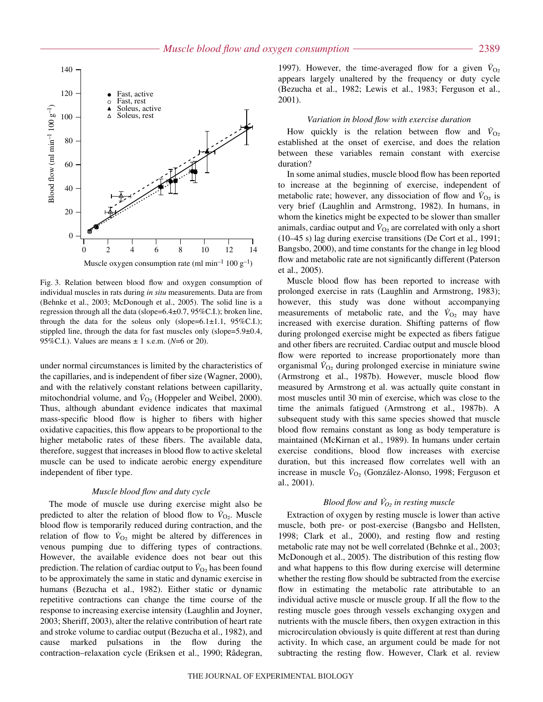

Fig. 3. Relation between blood flow and oxygen consumption of individual muscles in rats during *in situ* measurements. Data are from (Behnke et al., 2003; McDonough et al., 2005). The solid line is a regression through all the data (slope=6.4±0.7, 95%C.I.); broken line, through the data for the soleus only (slope= $6.1 \pm 1.1$ ,  $95\%$ C.I.); stippled line, through the data for fast muscles only (slope= $5.9\pm0.4$ , 95%C.I.). Values are means ± 1 s.e.m. (*N*=6 or 20).

under normal circumstances is limited by the characteristics of the capillaries, and is independent of fiber size (Wagner, 2000), and with the relatively constant relations between capillarity, mitochondrial volume, and  $V_{O_2}$  (Hoppeler and Weibel, 2000). Thus, although abundant evidence indicates that maximal mass-specific blood flow is higher to fibers with higher oxidative capacities, this flow appears to be proportional to the higher metabolic rates of these fibers. The available data, therefore, suggest that increases in blood flow to active skeletal muscle can be used to indicate aerobic energy expenditure independent of fiber type.

#### *Muscle blood flow and duty cycle*

The mode of muscle use during exercise might also be predicted to alter the relation of blood flow to  $V_{\text{O}_2}$ . Muscle blood flow is temporarily reduced during contraction, and the relation of flow to  $V_{O_2}$  might be altered by differences in venous pumping due to differing types of contractions. However, the available evidence does not bear out this prediction. The relation of cardiac output to  $V_{O_2}$  has been found to be approximately the same in static and dynamic exercise in humans (Bezucha et al., 1982). Either static or dynamic repetitive contractions can change the time course of the response to increasing exercise intensity (Laughlin and Joyner, 2003; Sheriff, 2003), alter the relative contribution of heart rate and stroke volume to cardiac output (Bezucha et al., 1982), and cause marked pulsations in the flow during the contraction–relaxation cycle (Eriksen et al., 1990; Rådegran,

1997). However, the time-averaged flow for a given  $\dot{V}_{O_2}$ appears largely unaltered by the frequency or duty cycle (Bezucha et al., 1982; Lewis et al., 1983; Ferguson et al., 2001).

#### *Variation in blood flow with exercise duration*

How quickly is the relation between flow and  $\dot{V}_{\text{O}_2}$ established at the onset of exercise, and does the relation between these variables remain constant with exercise duration?

In some animal studies, muscle blood flow has been reported to increase at the beginning of exercise, independent of metabolic rate; however, any dissociation of flow and  $V_{\Omega_2}$  is very brief (Laughlin and Armstrong, 1982). In humans, in whom the kinetics might be expected to be slower than smaller animals, cardiac output and  $V_{O_2}$  are correlated with only a short  $(10-45s)$  lag during exercise transitions (De Cort et al., 1991; Bangsbo, 2000), and time constants for the change in leg blood flow and metabolic rate are not significantly different (Paterson et al., 2005).

Muscle blood flow has been reported to increase with prolonged exercise in rats (Laughlin and Armstrong, 1983); however, this study was done without accompanying measurements of metabolic rate, and the  $\dot{V}_{\text{O}_2}$  may have increased with exercise duration. Shifting patterns of flow during prolonged exercise might be expected as fibers fatigue and other fibers are recruited. Cardiac output and muscle blood flow were reported to increase proportionately more than organismal  $V_{O_2}$  during prolonged exercise in miniature swine (Armstrong et al., 1987b). However, muscle blood flow measured by Armstrong et al. was actually quite constant in most muscles until 30 min of exercise, which was close to the time the animals fatigued (Armstrong et al., 1987b). A subsequent study with this same species showed that muscle blood flow remains constant as long as body temperature is maintained (McKirnan et al., 1989). In humans under certain exercise conditions, blood flow increases with exercise duration, but this increased flow correlates well with an increase in muscle  $V_{O_2}$  (González-Alonso, 1998; Ferguson et al., 2001).

# *Blood flow and VO*2 *in resting muscle*

Extraction of oxygen by resting muscle is lower than active muscle, both pre- or post-exercise (Bangsbo and Hellsten, 1998; Clark et al., 2000), and resting flow and resting metabolic rate may not be well correlated (Behnke et al., 2003; McDonough et al., 2005). The distribution of this resting flow and what happens to this flow during exercise will determine whether the resting flow should be subtracted from the exercise flow in estimating the metabolic rate attributable to an individual active muscle or muscle group. If all the flow to the resting muscle goes through vessels exchanging oxygen and nutrients with the muscle fibers, then oxygen extraction in this microcirculation obviously is quite different at rest than during activity. In which case, an argument could be made for not subtracting the resting flow. However, Clark et al. review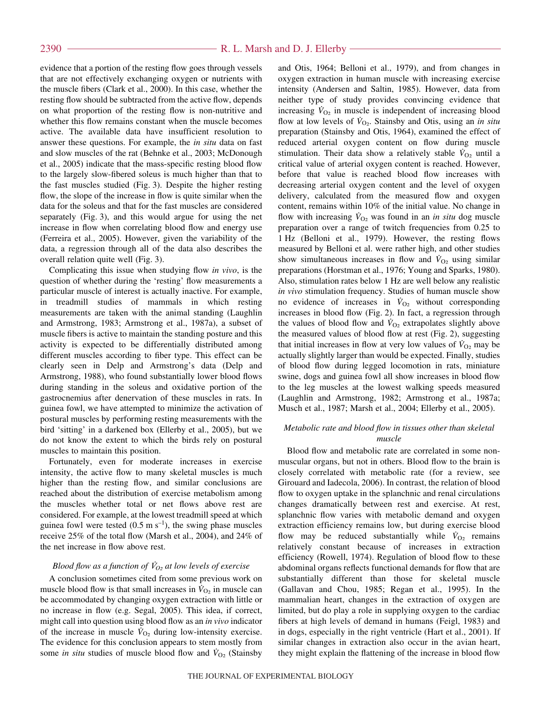evidence that a portion of the resting flow goes through vessels that are not effectively exchanging oxygen or nutrients with the muscle fibers (Clark et al., 2000). In this case, whether the resting flow should be subtracted from the active flow, depends on what proportion of the resting flow is non-nutritive and whether this flow remains constant when the muscle becomes active. The available data have insufficient resolution to answer these questions. For example, the *in situ* data on fast and slow muscles of the rat (Behnke et al., 2003; McDonough et al., 2005) indicate that the mass-specific resting blood flow to the largely slow-fibered soleus is much higher than that to the fast muscles studied (Fig. 3). Despite the higher resting flow, the slope of the increase in flow is quite similar when the data for the soleus and that for the fast muscles are considered separately (Fig. 3), and this would argue for using the net increase in flow when correlating blood flow and energy use (Ferreira et al., 2005). However, given the variability of the data, a regression through all of the data also describes the overall relation quite well (Fig. 3).

Complicating this issue when studying flow *in vivo*, is the question of whether during the 'resting' flow measurements a particular muscle of interest is actually inactive. For example, in treadmill studies of mammals in which resting measurements are taken with the animal standing (Laughlin and Armstrong, 1983; Armstrong et al., 1987a), a subset of muscle fibers is active to maintain the standing posture and this activity is expected to be differentially distributed among different muscles according to fiber type. This effect can be clearly seen in Delp and Armstrong's data (Delp and Armstrong, 1988), who found substantially lower blood flows during standing in the soleus and oxidative portion of the gastrocnemius after denervation of these muscles in rats. In guinea fowl, we have attempted to minimize the activation of postural muscles by performing resting measurements with the bird 'sitting' in a darkened box (Ellerby et al., 2005), but we do not know the extent to which the birds rely on postural muscles to maintain this position.

Fortunately, even for moderate increases in exercise intensity, the active flow to many skeletal muscles is much higher than the resting flow, and similar conclusions are reached about the distribution of exercise metabolism among the muscles whether total or net flows above rest are considered. For example, at the lowest treadmill speed at which guinea fowl were tested  $(0.5 \text{ m s}^{-1})$ , the swing phase muscles receive 25% of the total flow (Marsh et al., 2004), and 24% of the net increase in flow above rest.

# *Blood flow as a function of*  $\dot{V}_{O2}$  *at low levels of exercise*

A conclusion sometimes cited from some previous work on muscle blood flow is that small increases in  $V_{O_2}$  in muscle can be accommodated by changing oxygen extraction with little or no increase in flow (e.g. Segal, 2005). This idea, if correct, might call into question using blood flow as an *in vivo* indicator of the increase in muscle  $V_{O_2}$  during low-intensity exercise. The evidence for this conclusion appears to stem mostly from some *in situ* studies of muscle blood flow and  $\dot{V}_{O_2}$  (Stainsby

and Otis, 1964; Belloni et al., 1979), and from changes in oxygen extraction in human muscle with increasing exercise intensity (Andersen and Saltin, 1985). However, data from neither type of study provides convincing evidence that increasing  $V_{O_2}$  in muscle is independent of increasing blood flow at low levels of  $V_{\text{O}_2}$ . Stainsby and Otis, using an *in situ* preparation (Stainsby and Otis, 1964), examined the effect of reduced arterial oxygen content on flow during muscle stimulation. Their data show a relatively stable  $V_{O_2}$  until a critical value of arterial oxygen content is reached. However, before that value is reached blood flow increases with decreasing arterial oxygen content and the level of oxygen delivery, calculated from the measured flow and oxygen content, remains within 10% of the initial value. No change in flow with increasing  $V_{\text{O}_2}$  was found in an *in situ* dog muscle preparation over a range of twitch frequencies from 0.25 to 1 Hz (Belloni et al., 1979). However, the resting flows measured by Belloni et al. were rather high, and other studies show simultaneous increases in flow and  $V_{O_2}$  using similar preparations (Horstman et al., 1976; Young and Sparks, 1980). Also, stimulation rates below 1 Hz are well below any realistic *in vivo* stimulation frequency. Studies of human muscle show no evidence of increases in  $V_{O_2}$  without corresponding increases in blood flow (Fig. 2). In fact, a regression through the values of blood flow and  $\dot{V}_{\text{O}_2}$  extrapolates slightly above the measured values of blood flow at rest (Fig. 2), suggesting that initial increases in flow at very low values of  $\dot{V}_{O_2}$  may be actually slightly larger than would be expected. Finally, studies of blood flow during legged locomotion in rats, miniature swine, dogs and guinea fowl all show increases in blood flow to the leg muscles at the lowest walking speeds measured (Laughlin and Armstrong, 1982; Armstrong et al., 1987a; Musch et al., 1987; Marsh et al., 2004; Ellerby et al., 2005).

#### *Metabolic rate and blood flow in tissues other than skeletal muscle*

Blood flow and metabolic rate are correlated in some nonmuscular organs, but not in others. Blood flow to the brain is closely correlated with metabolic rate (for a review, see Girouard and Iadecola, 2006). In contrast, the relation of blood flow to oxygen uptake in the splanchnic and renal circulations changes dramatically between rest and exercise. At rest, splanchnic flow varies with metabolic demand and oxygen extraction efficiency remains low, but during exercise blood flow may be reduced substantially while  $V_{O_2}$  remains relatively constant because of increases in extraction efficiency (Rowell, 1974). Regulation of blood flow to these abdominal organs reflects functional demands for flow that are substantially different than those for skeletal muscle (Gallavan and Chou, 1985; Regan et al., 1995). In the mammalian heart, changes in the extraction of oxygen are limited, but do play a role in supplying oxygen to the cardiac fibers at high levels of demand in humans (Feigl, 1983) and in dogs, especially in the right ventricle (Hart et al., 2001). If similar changes in extraction also occur in the avian heart, they might explain the flattening of the increase in blood flow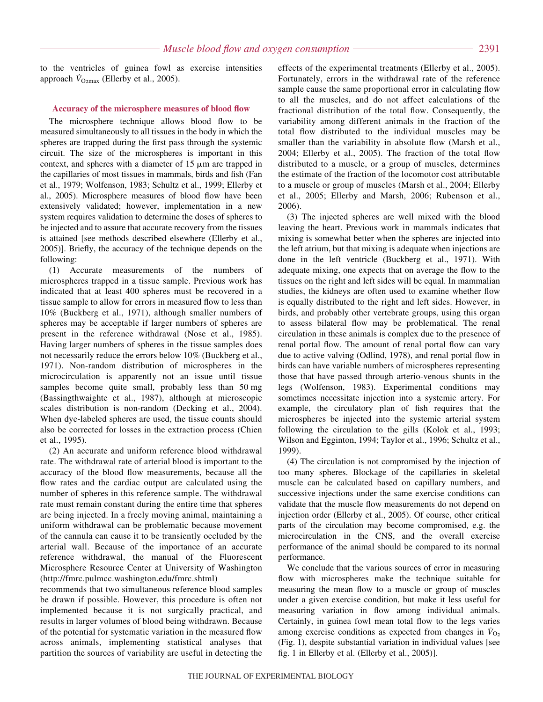to the ventricles of guinea fowl as exercise intensities approach  $V_{\text{O2max}}$  (Ellerby et al., 2005).

#### **Accuracy of the microsphere measures of blood flow**

The microsphere technique allows blood flow to be measured simultaneously to all tissues in the body in which the spheres are trapped during the first pass through the systemic circuit. The size of the microspheres is important in this context, and spheres with a diameter of  $15 \mu m$  are trapped in the capillaries of most tissues in mammals, birds and fish (Fan et al., 1979; Wolfenson, 1983; Schultz et al., 1999; Ellerby et al., 2005). Microsphere measures of blood flow have been extensively validated; however, implementation in a new system requires validation to determine the doses of spheres to be injected and to assure that accurate recovery from the tissues is attained [see methods described elsewhere (Ellerby et al., 2005)]. Briefly, the accuracy of the technique depends on the following:

(1) Accurate measurements of the numbers of microspheres trapped in a tissue sample. Previous work has indicated that at least 400 spheres must be recovered in a tissue sample to allow for errors in measured flow to less than 10% (Buckberg et al., 1971), although smaller numbers of spheres may be acceptable if larger numbers of spheres are present in the reference withdrawal (Nose et al., 1985). Having larger numbers of spheres in the tissue samples does not necessarily reduce the errors below 10% (Buckberg et al., 1971). Non-random distribution of microspheres in the microcirculation is apparently not an issue until tissue samples become quite small, probably less than 50 mg (Bassingthwaighte et al., 1987), although at microscopic scales distribution is non-random (Decking et al., 2004). When dye-labeled spheres are used, the tissue counts should also be corrected for losses in the extraction process (Chien et al., 1995).

(2) An accurate and uniform reference blood withdrawal rate. The withdrawal rate of arterial blood is important to the accuracy of the blood flow measurements, because all the flow rates and the cardiac output are calculated using the number of spheres in this reference sample. The withdrawal rate must remain constant during the entire time that spheres are being injected. In a freely moving animal, maintaining a uniform withdrawal can be problematic because movement of the cannula can cause it to be transiently occluded by the arterial wall. Because of the importance of an accurate reference withdrawal, the manual of the Fluorescent Microsphere Resource Center at University of Washington (http://fmrc.pulmcc.washington.edu/fmrc.shtml)

recommends that two simultaneous reference blood samples be drawn if possible. However, this procedure is often not implemented because it is not surgically practical, and results in larger volumes of blood being withdrawn. Because of the potential for systematic variation in the measured flow across animals, implementing statistical analyses that partition the sources of variability are useful in detecting the effects of the experimental treatments (Ellerby et al., 2005). Fortunately, errors in the withdrawal rate of the reference sample cause the same proportional error in calculating flow to all the muscles, and do not affect calculations of the fractional distribution of the total flow. Consequently, the variability among different animals in the fraction of the total flow distributed to the individual muscles may be smaller than the variability in absolute flow (Marsh et al., 2004; Ellerby et al., 2005). The fraction of the total flow distributed to a muscle, or a group of muscles, determines the estimate of the fraction of the locomotor cost attributable to a muscle or group of muscles (Marsh et al., 2004; Ellerby et al., 2005; Ellerby and Marsh, 2006; Rubenson et al., 2006).

(3) The injected spheres are well mixed with the blood leaving the heart. Previous work in mammals indicates that mixing is somewhat better when the spheres are injected into the left atrium, but that mixing is adequate when injections are done in the left ventricle (Buckberg et al., 1971). With adequate mixing, one expects that on average the flow to the tissues on the right and left sides will be equal. In mammalian studies, the kidneys are often used to examine whether flow is equally distributed to the right and left sides. However, in birds, and probably other vertebrate groups, using this organ to assess bilateral flow may be problematical. The renal circulation in these animals is complex due to the presence of renal portal flow. The amount of renal portal flow can vary due to active valving (Odlind, 1978), and renal portal flow in birds can have variable numbers of microspheres representing those that have passed through arterio-venous shunts in the legs (Wolfenson, 1983). Experimental conditions may sometimes necessitate injection into a systemic artery. For example, the circulatory plan of fish requires that the microspheres be injected into the systemic arterial system following the circulation to the gills (Kolok et al., 1993; Wilson and Egginton, 1994; Taylor et al., 1996; Schultz et al., 1999).

(4) The circulation is not compromised by the injection of too many spheres. Blockage of the capillaries in skeletal muscle can be calculated based on capillary numbers, and successive injections under the same exercise conditions can validate that the muscle flow measurements do not depend on injection order (Ellerby et al., 2005). Of course, other critical parts of the circulation may become compromised, e.g. the microcirculation in the CNS, and the overall exercise performance of the animal should be compared to its normal performance.

We conclude that the various sources of error in measuring flow with microspheres make the technique suitable for measuring the mean flow to a muscle or group of muscles under a given exercise condition, but make it less useful for measuring variation in flow among individual animals. Certainly, in guinea fowl mean total flow to the legs varies among exercise conditions as expected from changes in  $V_{O<sub>2</sub>}$ (Fig. 1), despite substantial variation in individual values [see fig. 1 in Ellerby et al. (Ellerby et al., 2005)].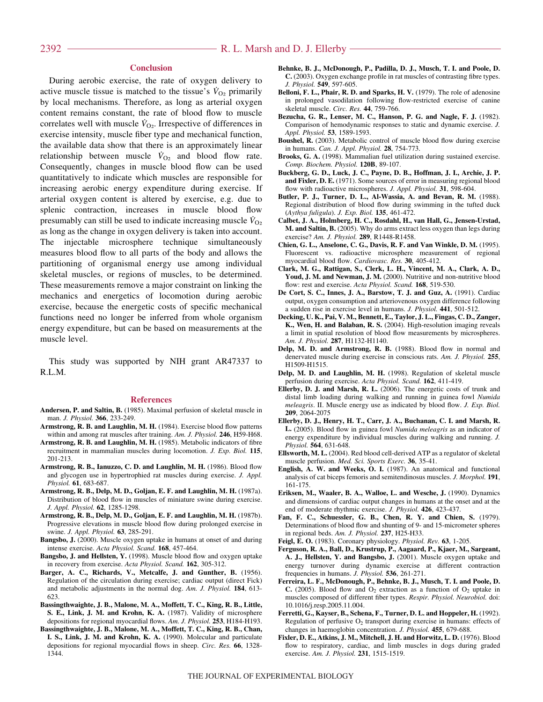#### **Conclusion**

During aerobic exercise, the rate of oxygen delivery to active muscle tissue is matched to the tissue's  $V_{\text{O}_2}$  primarily by local mechanisms. Therefore, as long as arterial oxygen content remains constant, the rate of blood flow to muscle correlates well with muscle  $V_{\Omega_2}$ . Irrespective of differences in exercise intensity, muscle fiber type and mechanical function, the available data show that there is an approximately linear relationship between muscle  $\dot{V}_{O_2}$  and blood flow rate. Consequently, changes in muscle blood flow can be used quantitatively to indicate which muscles are responsible for increasing aerobic energy expenditure during exercise. If arterial oxygen content is altered by exercise, e.g. due to splenic contraction, increases in muscle blood flow presumably can still be used to indicate increasing muscle  $\dot{V}_{O_2}$ as long as the change in oxygen delivery is taken into account. The injectable microsphere technique simultaneously measures blood flow to all parts of the body and allows the partitioning of organismal energy use among individual skeletal muscles, or regions of muscles, to be determined. These measurements remove a major constraint on linking the mechanics and energetics of locomotion during aerobic exercise, because the energetic costs of specific mechanical functions need no longer be inferred from whole organism energy expenditure, but can be based on measurements at the muscle level.

This study was supported by NIH grant AR47337 to R.L.M.

#### **References**

- **Andersen, P. and Saltin, B.** (1985). Maximal perfusion of skeletal muscle in man. *J. Physiol.* **366**, 233-249.
- **Armstrong, R. B. and Laughlin, M. H.** (1984). Exercise blood flow patterns within and among rat muscles after training. *Am. J. Physiol.* **246**, H59-H68.
- **Armstrong, R. B. and Laughlin, M. H.** (1985). Metabolic indicators of fibre recruitment in mammalian muscles during locomotion. *J. Exp. Biol.* **115**, 201-213.
- **Armstrong, R. B., Ianuzzo, C. D. and Laughlin, M. H.** (1986). Blood flow and glycogen use in hypertrophied rat muscles during exercise. *J. Appl. Physiol.* **61**, 683-687.
- **Armstrong, R. B., Delp, M. D., Goljan, E. F. and Laughlin, M. H.** (1987a). Distribution of blood flow in muscles of miniature swine during exercise. *J. Appl. Physiol.* **62**, 1285-1298.
- **Armstrong, R. B., Delp, M. D., Goljan, E. F. and Laughlin, M. H.** (1987b). Progressive elevations in muscle blood flow during prolonged exercise in swine. *J. Appl. Physiol.* **63**, 285-291.
- **Bangsbo, J.** (2000). Muscle oxygen uptake in humans at onset of and during intense exercise. *Acta Physiol. Scand.* **168**, 457-464.
- **Bangsbo, J. and Hellsten, Y.** (1998). Muscle blood flow and oxygen uptake in recovery from exercise. *Acta Physiol. Scand.* **162**, 305-312.
- **Barger, A. C., Richards, V., Metcalfe, J. and Gunther, B.** (1956). Regulation of the circulation during exercise; cardiac output (direct Fick) and metabolic adjustments in the normal dog. *Am. J. Physiol.* **184**, 613- 623.
- **Bassingthwaighte, J. B., Malone, M. A., Moffett, T. C., King, R. B., Little, S. E., Link, J. M. and Krohn, K. A.** (1987). Validity of microsphere depositions for regional myocardial flows. *Am. J. Physiol.* **253**, H184-H193.
- **Bassingthwaighte, J. B., Malone, M. A., Moffett, T. C., King, R. B., Chan, I. S., Link, J. M. and Krohn, K. A.** (1990). Molecular and particulate depositions for regional myocardial flows in sheep. *Circ. Res.* **66**, 1328- 1344.
- **Behnke, B. J., McDonough, P., Padilla, D. J., Musch, T. I. and Poole, D. C.** (2003). Oxygen exchange profile in rat muscles of contrasting fibre types. *J. Physiol.* **549**, 597-605.
- **Belloni, F. L., Phair, R. D. and Sparks, H. V.** (1979). The role of adenosine in prolonged vasodilation following flow-restricted exercise of canine skeletal muscle. *Circ. Res.* **44**, 759-766.
- **Bezucha, G. R., Lenser, M. C., Hanson, P. G. and Nagle, F. J.** (1982). Comparison of hemodynamic responses to static and dynamic exercise. *J. Appl. Physiol.* **53**, 1589-1593.
- **Boushel, R.** (2003). Metabolic control of muscle blood flow during exercise in humans. *Can. J. Appl. Physiol.* **28**, 754-773.
- **Brooks, G. A.** (1998). Mammalian fuel utilization during sustained exercise. *Comp. Biochem. Physiol.* **120B**, 89-107.
- **Buckberg, G. D., Luck, J. C., Payne, D. B., Hoffman, J. I., Archie, J. P. and Fixler, D. E.** (1971). Some sources of error in measuring regional blood flow with radioactive microspheres. *J. Appl. Physiol.* **31**, 598-604.
- **Butler, P. J., Turner, D. L., Al-Wassia, A. and Bevan, R. M.** (1988). Regional distribution of blood flow during swimming in the tufted duck (*Aythya fuligula*). *J. Exp. Biol.* **135**, 461-472.
- **Calbet, J. A., Holmberg, H. C., Rosdahl, H., van Hall, G., Jensen-Urstad, M. and Saltin, B.** (2005). Why do arms extract less oxygen than legs during exercise? *Am. J. Physiol.* **289**, R1448-R1458.
- **Chien, G. L., Anselone, C. G., Davis, R. F. and Van Winkle, D. M.** (1995). Fluorescent vs. radioactive microsphere measurement of regional myocardial blood flow. *Cardiovasc. Res.* **30**, 405-412.
- **Clark, M. G., Rattigan, S., Clerk, L. H., Vincent, M. A., Clark, A. D.,** Youd, J. M. and Newman, J. M. (2000). Nutritive and non-nutritive blood flow: rest and exercise. *Acta Physiol. Scand.* **168**, 519-530.
- **De Cort, S. C., Innes, J. A., Barstow, T. J. and Guz, A.** (1991). Cardiac output, oxygen consumption and arteriovenous oxygen difference following a sudden rise in exercise level in humans. *J. Physiol.* **441**, 501-512.
- **Decking, U. K., Pai, V. M., Bennett, E., Taylor, J. L., Fingas, C. D., Zanger, K., Wen, H. and Balaban, R. S.** (2004). High-resolution imaging reveals a limit in spatial resolution of blood flow measurements by microspheres. *Am. J. Physiol.* **287**, H1132-H1140.
- **Delp, M. D. and Armstrong, R. B.** (1988). Blood flow in normal and denervated muscle during exercise in conscious rats. *Am. J. Physiol.* **255**, H1509-H1515.
- **Delp, M. D. and Laughlin, M. H.** (1998). Regulation of skeletal muscle perfusion during exercise. *Acta Physiol. Scand.* **162**, 411-419.
- **Ellerby, D. J. and Marsh, R. L.** (2006). The energetic costs of trunk and distal limb loading during walking and running in guinea fowl *Numida meleagris*. II. Muscle energy use as indicated by blood flow. *J. Exp. Biol.* **209**, 2064-2075
- **Ellerby, D. J., Henry, H. T., Carr, J. A., Buchanan, C. I. and Marsh, R. L.** (2005). Blood flow in guinea fowl *Numida meleagris* as an indicator of energy expenditure by individual muscles during walking and running. *J. Physiol.* **564**, 631-648.
- **Ellsworth, M. L.** (2004). Red blood cell-derived ATP as a regulator of skeletal muscle perfusion. *Med. Sci. Sports Exerc.* **36**, 35-41.
- **English, A. W. and Weeks, O. I.** (1987). An anatomical and functional analysis of cat biceps femoris and semitendinosus muscles. *J. Morphol.* **191**, 161-175.
- **Eriksen, M., Waaler, B. A., Walloe, L. and Wesche, J.** (1990). Dynamics and dimensions of cardiac output changes in humans at the onset and at the end of moderate rhythmic exercise. *J. Physiol.* **426**, 423-437.
- **Fan, F. C., Schuessler, G. B., Chen, R. Y. and Chien, S.** (1979). Determinations of blood flow and shunting of 9- and 15-micrometer spheres in regional beds. *Am. J. Physiol.* **237**, H25-H33.
- **Feigl, E. O.** (1983). Coronary physiology. *Physiol. Rev.* **63**, 1-205.
- **Ferguson, R. A., Ball, D., Krustrup, P., Aagaard, P., Kjaer, M., Sargeant, A. J., Hellsten, Y. and Bangsbo, J.** (2001). Muscle oxygen uptake and energy turnover during dynamic exercise at different contraction frequencies in humans. *J. Physiol.* **536**, 261-271.
- **Ferreira, L. F., McDonough, P., Behnke, B. J., Musch, T. I. and Poole, D. C.** (2005). Blood flow and  $O_2$  extraction as a function of  $O_2$  uptake in muscles composed of different fiber types. *Respir. Physiol. Neurobiol.* doi: 10.1016/j.resp.2005.11.004.
- **Ferretti, G., Kayser, B., Schena, F., Turner, D. L. and Hoppeler, H.** (1992). Regulation of perfusive  $O_2$  transport during exercise in humans: effects of changes in haemoglobin concentration. *J. Physiol.* **455**, 679-688.
- **Fixler, D. E., Atkins, J. M., Mitchell, J. H. and Horwitz, L. D.** (1976). Blood flow to respiratory, cardiac, and limb muscles in dogs during graded exercise. *Am. J. Physiol.* **231**, 1515-1519.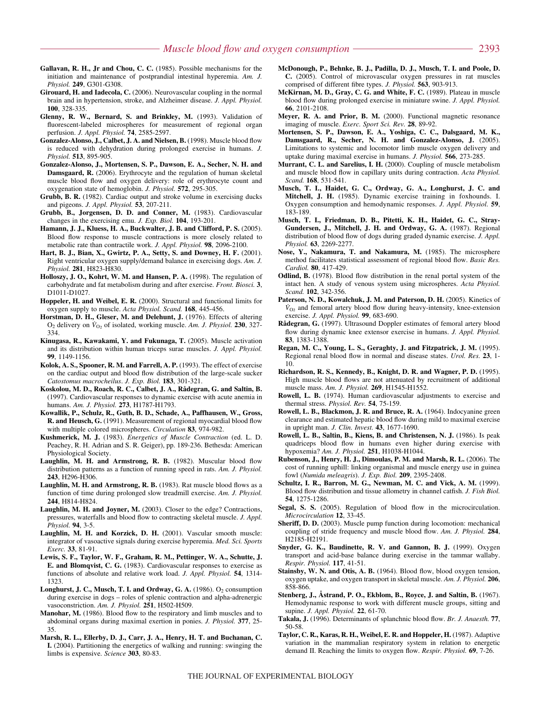- **Gallavan, R. H., Jr and Chou, C. C.** (1985). Possible mechanisms for the initiation and maintenance of postprandial intestinal hyperemia. *Am. J. Physiol.* **249**, G301-G308.
- **Girouard, H. and Iadecola, C.** (2006). Neurovascular coupling in the normal brain and in hypertension, stroke, and Alzheimer disease. *J. Appl. Physiol.* **100**, 328-335.
- **Glenny, R. W., Bernard, S. and Brinkley, M.** (1993). Validation of fluorescent-labeled microspheres for measurement of regional organ perfusion. *J. Appl. Physiol.* **74**, 2585-2597.
- **Gonzalez-Alonso, J., Calbet, J. A. and Nielsen, B.** (1998). Muscle blood flow is reduced with dehydration during prolonged exercise in humans. *J. Physiol.* **513**, 895-905.
- **Gonzalez-Alonso, J., Mortensen, S. P., Dawson, E. A., Secher, N. H. and Damsgaard, R.** (2006). Erythrocyte and the regulation of human skeletal muscle blood flow and oxygen delivery: role of erythrocyte count and oxygenation state of hemoglobin. *J. Physiol.* **572**, 295-305.
- **Grubb, B. R.** (1982). Cardiac output and stroke volume in exercising ducks and pigeons. *J. Appl. Physiol.* **53**, 207-211.
- **Grubb, B., Jorgensen, D. D. and Conner, M.** (1983). Cardiovascular changes in the exercising emu. *J. Exp. Biol.* **104**, 193-201.
- **Hamann, J. J., Kluess, H. A., Buckwalter, J. B. and Clifford, P. S.** (2005). Blood flow response to muscle contractions is more closely related to metabolic rate than contractile work. *J. Appl. Physiol.* **98**, 2096-2100.
- **Hart, B. J., Bian, X., Gwirtz, P. A., Setty, S. and Downey, H. F.** (2001). Right ventricular oxygen supply/demand balance in exercising dogs. *Am. J. Physiol.* **281**, H823-H830.
- **Holloszy, J. O., Kohrt, W. M. and Hansen, P. A.** (1998). The regulation of carbohydrate and fat metabolism during and after exercise. *Front. Biosci.* **3**, D1011-D1027.
- **Hoppeler, H. and Weibel, E. R.** (2000). Structural and functional limits for oxygen supply to muscle. *Acta Physiol. Scand.* **168**, 445-456.
- **Horstman, D. H., Gleser, M. and Delehunt, J.** (1976). Effects of altering  $O_2$  delivery on  $\dot{V}_{O_2}$  of isolated, working muscle. *Am. J. Physiol.* **230**, 327-334.
- **Kinugasa, R., Kawakami, Y. and Fukunaga, T.** (2005). Muscle activation and its distribution within human triceps surae muscles. *J. Appl. Physiol.* **99**, 1149-1156.
- **Kolok, A. S., Spooner, R. M. and Farrell, A. P.** (1993). The effect of exercise on the cardiac output and blood flow distribution of the large-scale sucker *Catostomus macrocheilus*. *J. Exp. Biol.* **183**, 301-321.
- **Koskolou, M. D., Roach, R. C., Calbet, J. A., Rådegran, G. and Saltin, B.** (1997). Cardiovascular responses to dynamic exercise with acute anemia in humans. *Am. J. Physiol.* **273**, H1787-H1793.
- **Kowallik, P., Schulz, R., Guth, B. D., Schade, A., Paffhausen, W., Gross, R. and Heusch, G.** (1991). Measurement of regional myocardial blood flow with multiple colored microspheres. *Circulation* **83**, 974-982.
- **Kushmerick, M. J.** (1983). *Energetics of Muscle Contraction* (ed. L. D. Peachey, R. H. Adrian and S. R. Geiger), pp. 189-236. Bethesda: American Physiological Society.
- **Laughlin, M. H. and Armstrong, R. B.** (1982). Muscular blood flow distribution patterns as a function of running speed in rats. *Am. J. Physiol.* **243**, H296-H306.
- **Laughlin, M. H. and Armstrong, R. B.** (1983). Rat muscle blood flows as a function of time during prolonged slow treadmill exercise. *Am. J. Physiol.* **244**, H814-H824.
- **Laughlin, M. H. and Joyner, M.** (2003). Closer to the edge? Contractions, pressures, waterfalls and blood flow to contracting skeletal muscle. *J. Appl. Physiol.* **94**, 3-5.
- **Laughlin, M. H. and Korzick, D. H.** (2001). Vascular smooth muscle: integrator of vasoactive signals during exercise hyperemia. *Med. Sci. Sports Exerc.* **33**, 81-91.
- **Lewis, S. F., Taylor, W. F., Graham, R. M., Pettinger, W. A., Schutte, J. E. and Blomqvist, C. G.** (1983). Cardiovascular responses to exercise as functions of absolute and relative work load. *J. Appl. Physiol.* **54**, 1314- 1323.
- Longhurst, J. C., Musch, T. I. and Ordway, G. A. (1986). O<sub>2</sub> consumption during exercise in dogs – roles of splenic contraction and alpha-adrenergic vasoconstriction. *Am. J. Physiol.* **251**, H502-H509.
- **Manohar, M.** (1986). Blood flow to the respiratory and limb muscles and to abdominal organs during maximal exertion in ponies. *J. Physiol.* **377**, 25- 35.
- **Marsh, R. L., Ellerby, D. J., Carr, J. A., Henry, H. T. and Buchanan, C. I.** (2004). Partitioning the energetics of walking and running: swinging the limbs is expensive. *Science* **303**, 80-83.
- **McDonough, P., Behnke, B. J., Padilla, D. J., Musch, T. I. and Poole, D. C.** (2005). Control of microvascular oxygen pressures in rat muscles comprised of different fibre types. *J. Physiol.* **563**, 903-913.
- **McKirnan, M. D., Gray, C. G. and White, F. C.** (1989). Plateau in muscle blood flow during prolonged exercise in miniature swine. *J. Appl. Physiol.* **66**, 2101-2108.
- **Meyer, R. A. and Prior, B. M.** (2000). Functional magnetic resonance imaging of muscle. *Exerc. Sport Sci. Rev.* **28**, 89-92.
- **Mortensen, S. P., Dawson, E. A., Yoshiga, C. C., Dalsgaard, M. K., Damsgaard, R., Secher, N. H. and Gonzalez-Alonso, J.** (2005). Limitations to systemic and locomotor limb muscle oxygen delivery and uptake during maximal exercise in humans. *J. Physiol.* **566**, 273-285.
- **Murrant, C. L. and Sarelius, I. H.** (2000). Coupling of muscle metabolism and muscle blood flow in capillary units during contraction. *Acta Physiol. Scand.* **168**, 531-541.
- **Musch, T. I., Haidet, G. C., Ordway, G. A., Longhurst, J. C. and Mitchell, J. H.** (1985). Dynamic exercise training in foxhounds. I. Oxygen consumption and hemodynamic responses. *J. Appl. Physiol.* **59**, 183-189.
- **Musch, T. I., Friedman, D. B., Pitetti, K. H., Haidet, G. C., Stray-Gundersen, J., Mitchell, J. H. and Ordway, G. A.** (1987). Regional distribution of blood flow of dogs during graded dynamic exercise. *J. Appl. Physiol.* **63**, 2269-2277.
- **Nose, Y., Nakamura, T. and Nakamura, M.** (1985). The microsphere method facilitates statistical assessment of regional blood flow. *Basic Res. Cardiol.* **80**, 417-429.
- **Odlind, B.** (1978). Blood flow distribution in the renal portal system of the intact hen. A study of venous system using microspheres. *Acta Physiol. Scand.* **102**, 342-356.
- **Paterson, N. D., Kowalchuk, J. M. and Paterson, D. H.** (2005). Kinetics of  $V_{O<sub>2</sub>}$  and femoral artery blood flow during heavy-intensity, knee-extension exercise. *J. Appl. Physiol.* **99**, 683-690.
- **Rådegran, G.** (1997). Ultrasound Doppler estimates of femoral artery blood flow during dynamic knee extensor exercise in humans. *J. Appl. Physiol.* **83**, 1383-1388.
- **Regan, M. C., Young, L. S., Geraghty, J. and Fitzpatrick, J. M.** (1995). Regional renal blood flow in normal and disease states. *Urol. Res.* **23**, 1- 10.
- **Richardson, R. S., Kennedy, B., Knight, D. R. and Wagner, P. D.** (1995). High muscle blood flows are not attenuated by recruitment of additional muscle mass. *Am. J. Physiol.* **269**, H1545-H1552.
- **Rowell, L. B.** (1974). Human cardiovascular adjustments to exercise and thermal stress. *Physiol. Rev.* **54**, 75-159.
- **Rowell, L. B., Blackmon, J. R. and Bruce, R. A.** (1964). Indocyanine green clearance and estimated hepatic blood flow during mild to maximal exercise in upright man. *J. Clin. Invest.* **43**, 1677-1690.
- **Rowell, L. B., Saltin, B., Kiens, B. and Christensen, N. J.** (1986). Is peak quadriceps blood flow in humans even higher during exercise with hypoxemia? *Am. J. Physiol.* **251**, H1038-H1044.
- **Rubenson, J., Henry, H. J., Dimoulas, P. M. and Marsh, R. L.** (2006). The cost of running uphill: linking organismal and muscle energy use in guinea fowl (*Numida meleagris*). *J. Exp. Biol.* **209**, 2395-2408.
- **Schultz, I. R., Barron, M. G., Newman, M. C. and Vick, A. M.** (1999). Blood flow distribution and tissue allometry in channel catfish. *J. Fish Biol.* **54**, 1275-1286.
- **Segal, S. S.** (2005). Regulation of blood flow in the microcirculation. *Microcirculation* **12**, 33-45.
- **Sheriff, D. D.** (2003). Muscle pump function during locomotion: mechanical coupling of stride frequency and muscle blood flow. *Am. J. Physiol.* **284**, H2185-H2191.
- **Snyder, G. K., Baudinette, R. V. and Gannon, B. J.** (1999). Oxygen transport and acid-base balance during exercise in the tammar wallaby. *Respir. Physiol.* **117**, 41-51.
- **Stainsby, W. N. and Otis, A. B.** (1964). Blood flow, blood oxygen tension, oxygen uptake, and oxygen transport in skeletal muscle. *Am. J. Physiol.* **206**, 858-866.
- **Stenberg, J., Åstrand, P. O., Ekblom, B., Royce, J. and Saltin, B.** (1967). Hemodynamic response to work with different muscle groups, sitting and supine. *J. Appl. Physiol.* **22**, 61-70.
- **Takala, J.** (1996). Determinants of splanchnic blood flow. *Br. J. Anaesth.* **77**, 50-58.
- **Taylor, C. R., Karas, R. H., Weibel, E. R. and Hoppeler, H.** (1987). Adaptive variation in the mammalian respiratory system in relation to energetic demand II. Reaching the limits to oxygen flow. *Respir. Physiol.* **69**, 7-26.